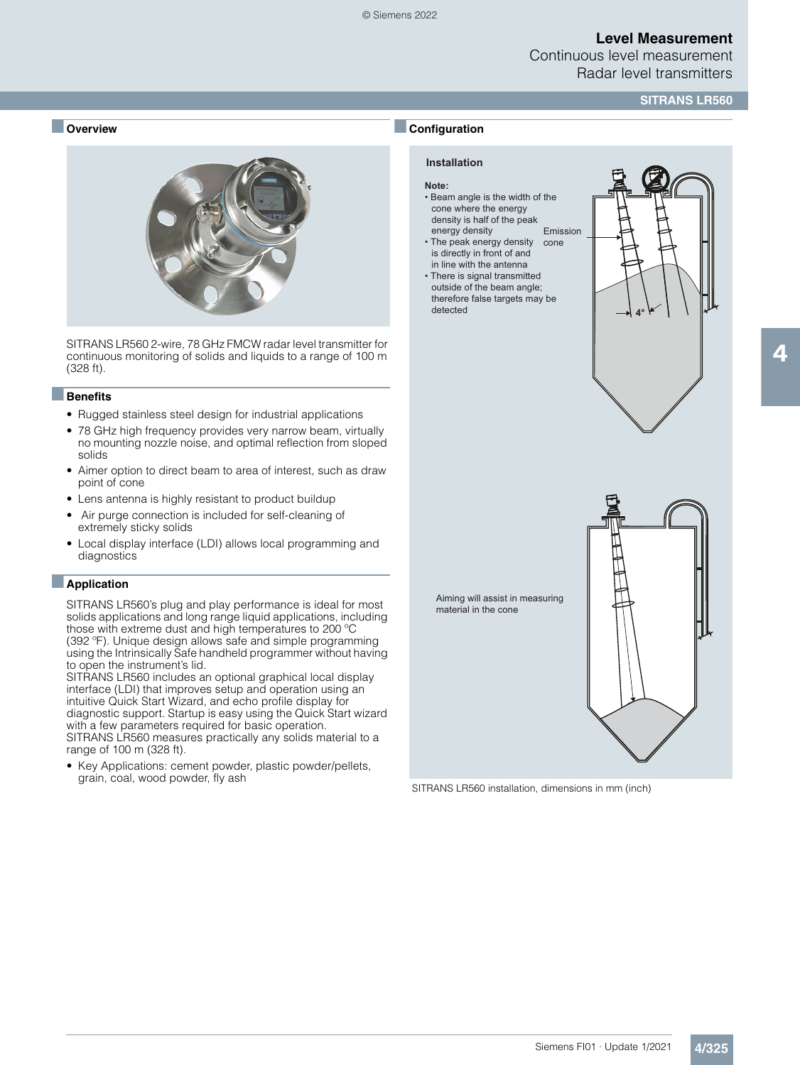Continuous level measurement Radar level transmitters

#### **SITRANS LR560**

#### ■ **Overview**



SITRANS LR560 2-wire, 78 GHz FMCW radar level transmitter for continuous monitoring of solids and liquids to a range of 100 m (328 ft).

#### ■**Benefits**

- Rugged stainless steel design for industrial applications
- 78 GHz high frequency provides very narrow beam, virtually no mounting nozzle noise, and optimal reflection from sloped solids
- Aimer option to direct beam to area of interest, such as draw point of cone
- Lens antenna is highly resistant to product buildup
- Air purge connection is included for self-cleaning of extremely sticky solids
- Local display interface (LDI) allows local programming and diagnostics

#### ■**Application**

SITRANS LR560's plug and play performance is ideal for most solids applications and long range liquid applications, including those with extreme dust and high temperatures to 200 ºC (392 ºF). Unique design allows safe and simple programming using the Intrinsically Safe handheld programmer without having to open the instrument's lid.

SITRANS LR560 includes an optional graphical local display interface (LDI) that improves setup and operation using an intuitive Quick Start Wizard, and echo profile display for diagnostic support. Startup is easy using the Quick Start wizard with a few parameters required for basic operation. SITRANS LR560 measures practically any solids material to a range of 100 m (328 ft).

• Key Applications: cement powder, plastic powder/pellets, grain, coal, wood powder, fly ash

# **Installation**

## **Note:**

■**Configuration**

- Beam angle is the width of the cone where the energy density is half of the peak
- energy density • The peak energy density is directly in front of and Emission cone
- in line with the antenna • There is signal transmitted outside of the beam angle; therefore false targets may be detected





SITRANS LR560 installation, dimensions in mm (inch)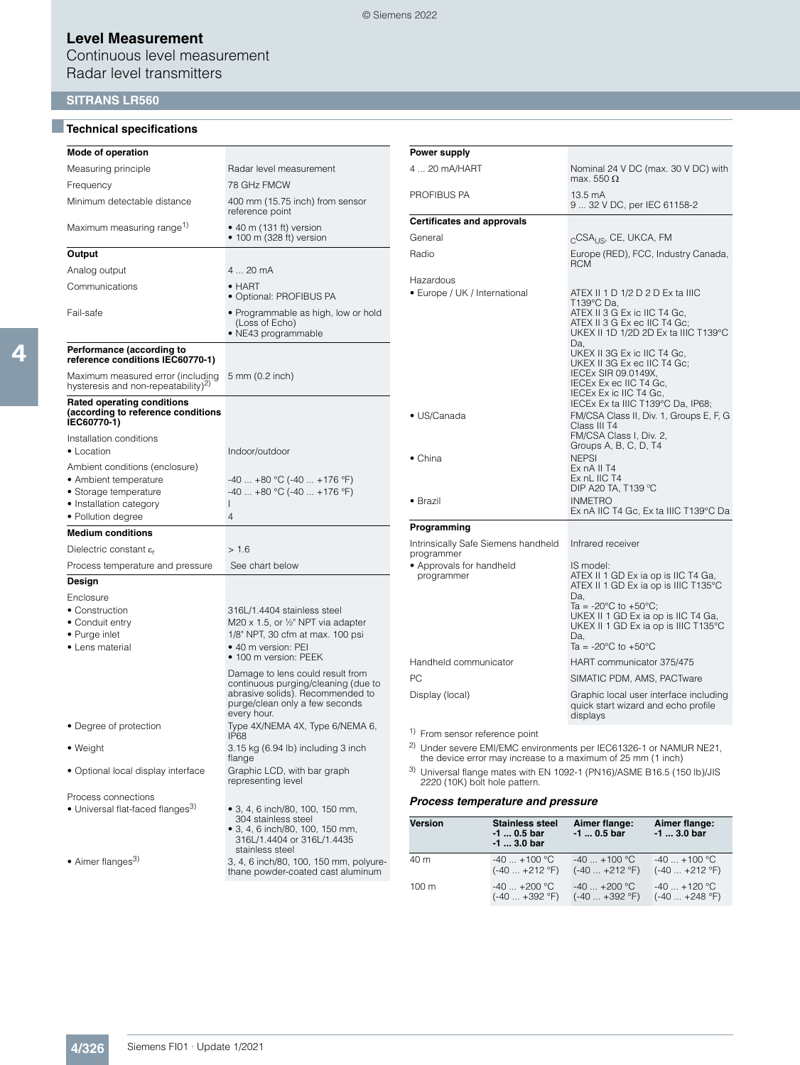Continuous level measurement Radar level transmitters

#### **SITRANS LR560**

#### ■**Technical specifications**

| Mode of operation                                                                                                                 |                                                                                                                                                              |  |  |
|-----------------------------------------------------------------------------------------------------------------------------------|--------------------------------------------------------------------------------------------------------------------------------------------------------------|--|--|
| Measuring principle                                                                                                               | Radar level measurement                                                                                                                                      |  |  |
| Frequency                                                                                                                         | 78 GH <sub>z</sub> FMCW                                                                                                                                      |  |  |
| Minimum detectable distance                                                                                                       | 400 mm (15.75 inch) from sensor<br>reference point                                                                                                           |  |  |
| Maximum measuring range <sup>1)</sup>                                                                                             | $\bullet$ 40 m (131 ft) version<br>$\bullet$ 100 m (328 ft) version                                                                                          |  |  |
| Output                                                                                                                            |                                                                                                                                                              |  |  |
| Analog output                                                                                                                     | 4  20 mA                                                                                                                                                     |  |  |
| Communications                                                                                                                    | $\bullet$ HART<br>• Optional: PROFIBUS PA                                                                                                                    |  |  |
| Fail-safe                                                                                                                         | • Programmable as high, low or hold<br>(Loss of Echo)<br>· NE43 programmable                                                                                 |  |  |
| Performance (according to<br>reference conditions IEC60770-1)                                                                     |                                                                                                                                                              |  |  |
| Maximum measured error (including<br>hysteresis and non-repeatability) <sup>2)</sup>                                              | 5 mm (0.2 inch)                                                                                                                                              |  |  |
| <b>Rated operating conditions</b><br>(according to reference conditions<br>IEC60770-1)                                            |                                                                                                                                                              |  |  |
| Installation conditions<br>• Location                                                                                             | Indoor/outdoor                                                                                                                                               |  |  |
| Ambient conditions (enclosure)<br>• Ambient temperature<br>• Storage temperature<br>• Installation category<br>• Pollution degree | $-40+80$ °C ( $-40+176$ °F)<br>$-40+80$ °C ( $-40+176$ °F)<br>L<br>4                                                                                         |  |  |
| <b>Medium conditions</b>                                                                                                          |                                                                                                                                                              |  |  |
| Dielectric constant $\varepsilon_r$                                                                                               | >1.6                                                                                                                                                         |  |  |
| Process temperature and pressure                                                                                                  | See chart below                                                                                                                                              |  |  |
| Design                                                                                                                            |                                                                                                                                                              |  |  |
| Enclosure<br>• Construction<br>• Conduit entry<br>• Purge inlet<br>• Lens material                                                | 316L/1.4404 stainless steel<br>M20 x 1.5, or 1/2" NPT via adapter<br>1/8" NPT, 30 cfm at max. 100 psi<br>• 40 m version: PEI<br>• 100 m version: PEEK        |  |  |
|                                                                                                                                   | Damage to lens could result from<br>continuous purging/cleaning (due to<br>abrasive solids). Recommended to<br>purge/clean only a few seconds<br>every hour. |  |  |
| • Degree of protection                                                                                                            | Type 4X/NEMA 4X, Type 6/NEMA 6,<br><b>IP68</b>                                                                                                               |  |  |
| • Weight                                                                                                                          | 3.15 kg (6.94 lb) including 3 inch<br>flange                                                                                                                 |  |  |
| • Optional local display interface                                                                                                | Graphic LCD, with bar graph<br>representing level                                                                                                            |  |  |
| Process connections<br>• Universal flat-faced flanges <sup>3)</sup>                                                               | • 3, 4, 6 inch/80, 100, 150 mm,<br>304 stainless steel<br>• 3, 4, 6 inch/80, 100, 150 mm,<br>316L/1.4404 or 316L/1.4435<br>stainless steel                   |  |  |
| • Aimer flanges <sup>3)</sup>                                                                                                     | 3, 4, 6 inch/80, 100, 150 mm, polyure-<br>thane powder-coated cast aluminum                                                                                  |  |  |

|                                                           | max. 550 $\Omega$                                                                                                                                                                                                                                                                                                                                                                                                                 |  |  |
|-----------------------------------------------------------|-----------------------------------------------------------------------------------------------------------------------------------------------------------------------------------------------------------------------------------------------------------------------------------------------------------------------------------------------------------------------------------------------------------------------------------|--|--|
| PROFIBUS PA                                               | 13.5 mA<br>9  32 V DC, per IEC 61158-2                                                                                                                                                                                                                                                                                                                                                                                            |  |  |
| <b>Certificates and approvals</b>                         |                                                                                                                                                                                                                                                                                                                                                                                                                                   |  |  |
| General                                                   | <sub>C</sub> CSA <sub>US</sub> , CE, UKCA, FM                                                                                                                                                                                                                                                                                                                                                                                     |  |  |
| Radio                                                     | Europe (RED), FCC, Industry Canada,<br><b>RCM</b>                                                                                                                                                                                                                                                                                                                                                                                 |  |  |
| Hazardous<br>• Europe / UK / International<br>• US/Canada | ATEX II 1 D 1/2 D 2 D Ex ta IIIC<br>T139°C Da.<br>ATEX II 3 G Ex ic IIC T4 Gc,<br>ATEX II 3 G Ex ec IIC T4 Gc;<br>UKEX II 1D 1/2D 2D Ex ta IIIC T139°C<br>Da.<br>UKEX II 3G Ex ic IIC T4 Gc,<br>UKEX II 3G Ex ec IIC T4 Gc;<br>IECEx SIR 09.0149X,<br>IECEx Ex ec IIC T4 Gc,<br>IECEx Ex ic IIC T4 Gc,<br>IECEx Ex ta IIIC T139°C Da, IP68;<br>FM/CSA Class II, Div. 1, Groups E, F, G<br>Class III T4<br>FM/CSA Class I, Div. 2, |  |  |
| $\bullet$ China<br>$\bullet$ Brazil                       | Groups A, B, C, D, T4<br><b>NEPSI</b><br>Ex nA II T4<br>Ex nL IIC T4<br>DIP A20 TA, T139 °C<br>INMETRO<br>Ex nA IIC T4 Gc, Ex ta IIIC T139°C Da                                                                                                                                                                                                                                                                                   |  |  |
| Programming                                               |                                                                                                                                                                                                                                                                                                                                                                                                                                   |  |  |
| Intrinsically Safe Siemens handheld<br>programmer         | Infrared receiver                                                                                                                                                                                                                                                                                                                                                                                                                 |  |  |
| • Approvals for handheld<br>programmer                    | IS model:<br>ATEX II 1 GD Ex ia op is IIC T4 Ga,<br>ATEX II 1 GD Ex ia op is IIIC T135°C<br>Da.<br>Ta = -20 $^{\circ}$ C to +50 $^{\circ}$ C;<br>UKEX II 1 GD Ex ia op is IIC T4 Ga,<br>UKEX II 1 GD Ex ia op is IIIC T135°C<br>Da.<br>Ta = $-20^{\circ}$ C to $+50^{\circ}$ C                                                                                                                                                    |  |  |
| Handheld communicator                                     | HART communicator 375/475                                                                                                                                                                                                                                                                                                                                                                                                         |  |  |
| PC.                                                       | SIMATIC PDM, AMS, PACTware                                                                                                                                                                                                                                                                                                                                                                                                        |  |  |
| Display (local)                                           | Graphic local user interface including<br>quick start wizard and echo profile<br>displays                                                                                                                                                                                                                                                                                                                                         |  |  |

4 ... 20 mA/HART Nominal 24 V DC (max. 30 V DC) with

1) From sensor reference point

<sup>2)</sup> Under severe EMI/EMC environments per IEC61326-1 or NAMUR NE21, the device error may increase to a maximum of  $25$  mm (1 inch)

3) Universal flange mates with EN 1092-1 (PN16)/ASME B16.5 (150 lb)/JIS 2220 (10K) bolt hole pattern.

#### *Process temperature and pressure*

| <b>Version</b>   | <b>Stainless steel</b><br>-1  0.5 bar<br>$-1$ 3.0 bar | Aimer flange:<br>$-1$ 0.5 bar | Aimer flange:<br>$-1$ 3.0 bar |
|------------------|-------------------------------------------------------|-------------------------------|-------------------------------|
| 40 m             | $-40$ $+100$ °C                                       | $-40$ $+100$ °C               | $-40+100$ °C                  |
|                  | $(-40 +212$ °F)                                       | $(-40 +212$ °F)               | $(-40+212$ °F)                |
| 100 <sub>m</sub> | $-40$ $+200$ °C                                       | $-40$ $+200$ °C               | $-40$ $+120$ °C               |
|                  | $(-40 +392$ °F)                                       | $(-40 +392$ °F)               | $(-40 +248$ °F)               |

**Power supply**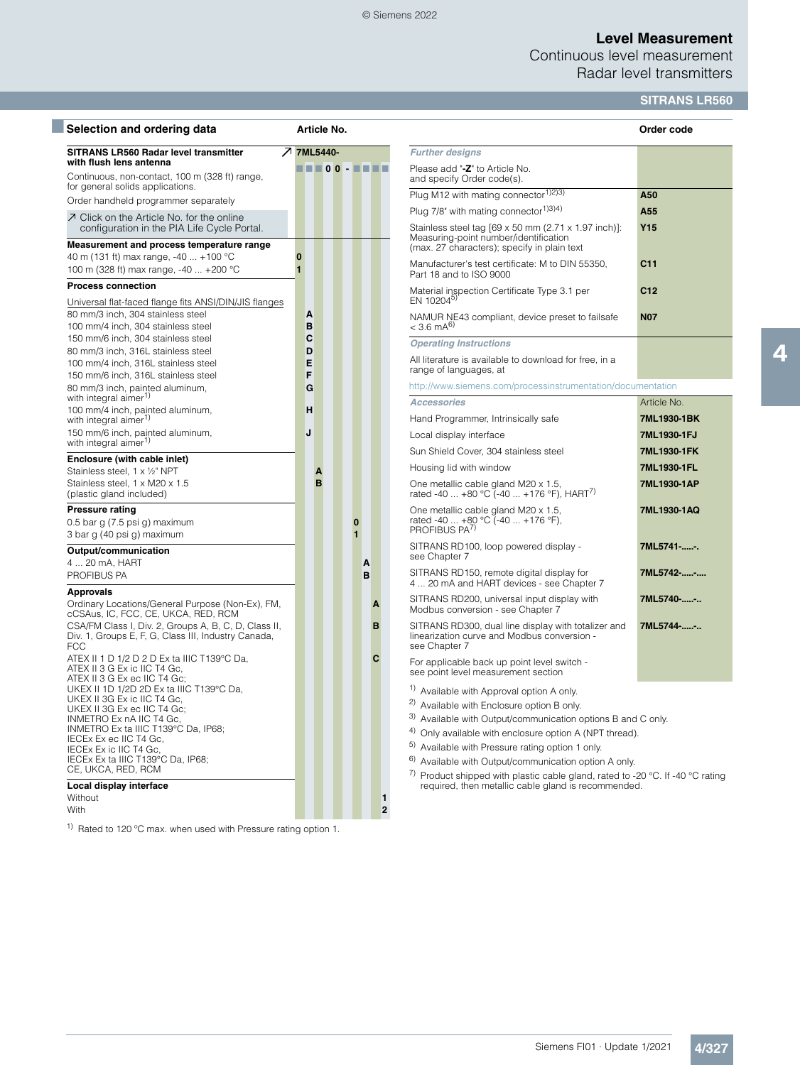#### © Siemens 2022

## **Level Measurement**

Continuous level measurement Radar level transmitters

## **SITRANS LR560**

| Selection and ordering data                                                                                               |                            | Article No.           |                     |        |                                                                                                                                       | Order code      |
|---------------------------------------------------------------------------------------------------------------------------|----------------------------|-----------------------|---------------------|--------|---------------------------------------------------------------------------------------------------------------------------------------|-----------------|
| SITRANS LR560 Radar level transmitter                                                                                     |                            | フ 7ML5440-            |                     |        | <b>Further designs</b>                                                                                                                |                 |
| with flush lens antenna<br>Continuous, non-contact, 100 m (328 ft) range,                                                 |                            | <b>EN 200 - EN 20</b> |                     |        | Please add "-Z" to Article No.<br>and specify Order code(s).                                                                          |                 |
| for general solids applications.                                                                                          |                            |                       |                     |        | Plug M12 with mating connector <sup>1)2)3)</sup>                                                                                      | A50             |
| Order handheld programmer separately                                                                                      |                            |                       |                     |        | Plug $7/8$ " with mating connector <sup>1)3)4)</sup>                                                                                  | A55             |
| 7 Click on the Article No. for the online<br>configuration in the PIA Life Cycle Portal.                                  |                            |                       |                     |        | Stainless steel tag [69 x 50 mm (2.71 x 1.97 inch)]:                                                                                  | <b>Y15</b>      |
| Measurement and process temperature range                                                                                 |                            |                       |                     |        | Measuring-point number/identification<br>(max. 27 characters); specify in plain text                                                  |                 |
| 40 m (131 ft) max range, -40  +100 °C<br>100 m (328 ft) max range, -40  +200 °C                                           | $\bf{0}$<br>$\blacksquare$ |                       |                     |        | Manufacturer's test certificate: M to DIN 55350,<br>Part 18 and to ISO 9000                                                           | C11             |
| <b>Process connection</b><br>Universal flat-faced flange fits ANSI/DIN/JIS flanges                                        |                            |                       |                     |        | Material inspection Certificate Type 3.1 per<br>EN 10204 <sup>5)</sup>                                                                | C <sub>12</sub> |
| 80 mm/3 inch, 304 stainless steel<br>100 mm/4 inch, 304 stainless steel                                                   | A<br>B                     |                       |                     |        | NAMUR NE43 compliant, device preset to failsafe<br>$< 3.6$ mA <sup>6)</sup>                                                           | <b>N07</b>      |
| 150 mm/6 inch, 304 stainless steel                                                                                        | C                          |                       |                     |        | <b>Operating Instructions</b>                                                                                                         |                 |
| 80 mm/3 inch, 316L stainless steel                                                                                        | D                          |                       |                     |        | All literature is available to download for free, in a                                                                                |                 |
| 100 mm/4 inch, 316L stainless steel<br>150 mm/6 inch, 316L stainless steel                                                | E<br>F                     |                       |                     |        | range of languages, at                                                                                                                |                 |
| 80 mm/3 inch, painted aluminum,                                                                                           | G                          |                       |                     |        | http://www.siemens.com/processinstrumentation/documentation                                                                           |                 |
| with integral aimer <sup>1)</sup><br>100 mm/4 inch, painted aluminum,                                                     | н                          |                       |                     |        | <b>Accessories</b>                                                                                                                    | Article No.     |
| with integral aimer <sup>1)</sup>                                                                                         |                            |                       |                     |        | Hand Programmer, Intrinsically safe                                                                                                   | 7ML1930-1BK     |
| 150 mm/6 inch, painted aluminum,<br>with integral aimer <sup>1)</sup>                                                     | J                          |                       |                     |        | Local display interface                                                                                                               | 7ML1930-1FJ     |
| Enclosure (with cable inlet)                                                                                              |                            |                       |                     |        | Sun Shield Cover, 304 stainless steel                                                                                                 | 7ML1930-1FK     |
| Stainless steel, 1 x 1/2" NPT                                                                                             |                            | A                     |                     |        | Housing lid with window                                                                                                               | 7ML1930-1FL     |
| Stainless steel, 1 x M20 x 1.5<br>(plastic gland included)                                                                |                            | B                     |                     |        | One metallic cable gland M20 x 1.5,<br>rated -40  +80 °C (-40  +176 °F), HART <sup>()</sup>                                           | 7ML1930-1AP     |
| <b>Pressure rating</b><br>$0.5$ bar g $(7.5$ psi g) maximum<br>3 bar g (40 psi g) maximum                                 |                            |                       | 0<br>$\blacksquare$ |        | One metallic cable gland M20 x 1.5,<br>rated -40  +80 °C (-40  +176 °F),<br>PROFIBUS PA <sup>7</sup>                                  | 7ML1930-1AQ     |
| Output/communication                                                                                                      |                            |                       |                     |        | SITRANS RD100, loop powered display -<br>see Chapter 7                                                                                | 7ML5741 -       |
| 4  20 mA, HART<br>PROFIBUS PA                                                                                             |                            |                       |                     | A<br>B | SITRANS RD150, remote digital display for<br>4  20 mA and HART devices - see Chapter 7                                                | 7ML5742--       |
| <b>Approvals</b>                                                                                                          |                            |                       |                     |        | SITRANS RD200, universal input display with                                                                                           | 7ML5740--       |
| Ordinary Locations/General Purpose (Non-Ex), FM,<br>cCSAus, IC, FCC, CE, UKCA, RED, RCM                                   |                            |                       |                     | A      | Modbus conversion - see Chapter 7                                                                                                     |                 |
| CSA/FM Class I, Div. 2, Groups A, B, C, D, Class II,<br>Div. 1, Groups E, F, G, Class III, Industry Canada,<br><b>FCC</b> |                            |                       |                     | B      | SITRANS RD300, dual line display with totalizer and<br>linearization curve and Modbus conversion -<br>see Chapter 7                   | 7ML5744--       |
| ATEX II 1 D 1/2 D 2 D Ex ta IIIC T139°C Da,<br>ATEX II 3 G Ex ic IIC T4 Gc,<br>ATEX II 3 G Ex ec IIC T4 Gc;               |                            |                       |                     | C      | For applicable back up point level switch -<br>see point level measurement section                                                    |                 |
| UKEX II 1D 1/2D 2D Ex ta IIIC T139°C Da,                                                                                  |                            |                       |                     |        | <sup>1)</sup> Available with Approval option A only.                                                                                  |                 |
| UKEX II 3G Ex ic IIC T4 Gc,<br>UKEX II 3G Ex ec IIC T4 Gc;                                                                |                            |                       |                     |        | <sup>2)</sup> Available with Enclosure option B only.                                                                                 |                 |
| INMETRO Ex nA IIC T4 Gc,                                                                                                  |                            |                       |                     |        | <sup>3)</sup> Available with Output/communication options B and C only.                                                               |                 |
| INMETRO Ex ta IIIC T139°C Da, IP68;<br>IECEx Ex ec IIC T4 Gc,                                                             |                            |                       |                     |        | <sup>4)</sup> Only available with enclosure option A (NPT thread).                                                                    |                 |
| IECEX Ex ic IIC T4 Gc.                                                                                                    |                            |                       |                     |        | <sup>5)</sup> Available with Pressure rating option 1 only.                                                                           |                 |
| IECEx Ex ta IIIC T139°C Da, IP68;<br>CE, UKCA, RED, RCM                                                                   |                            |                       |                     |        | 6) Available with Output/communication option A only.                                                                                 |                 |
| Local display interface                                                                                                   |                            |                       |                     |        | 7) Product shipped with plastic cable gland, rated to -20 °C. If -40 °C rating<br>required, then metallic cable gland is recommended. |                 |
| Without                                                                                                                   |                            |                       |                     | 1      |                                                                                                                                       |                 |
| With                                                                                                                      |                            |                       |                     | 2      |                                                                                                                                       |                 |

1) Rated to 120 ºC max. when used with Pressure rating option 1.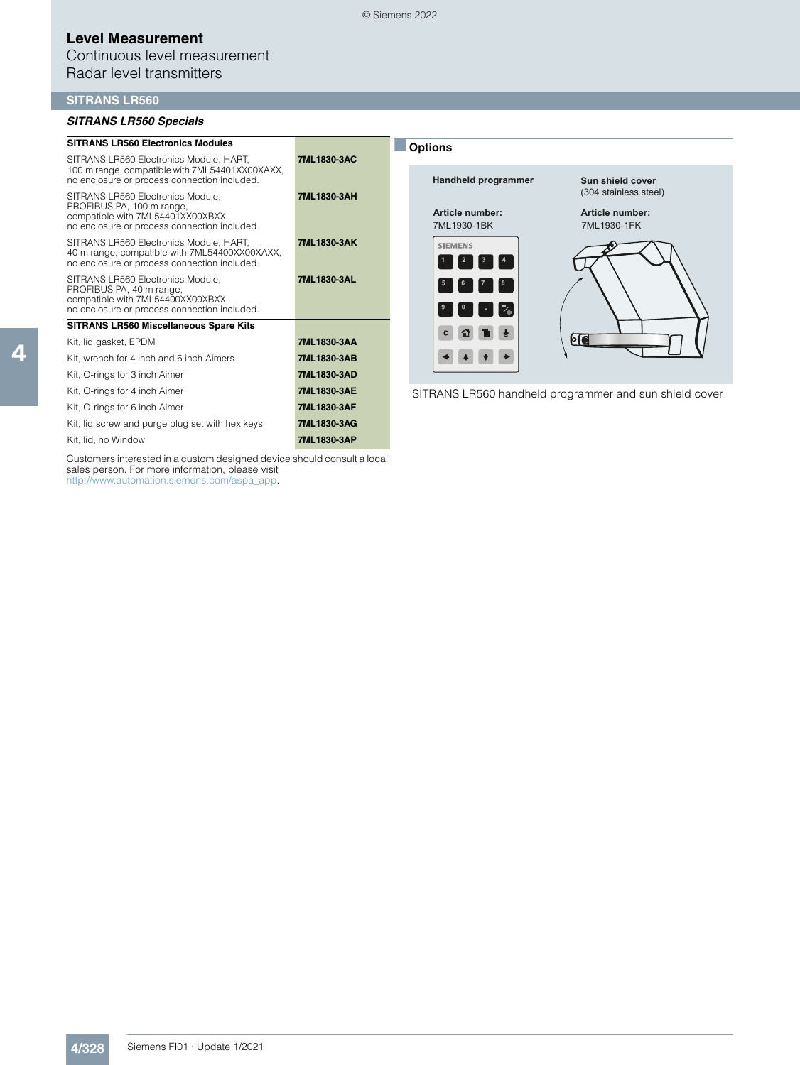Continuous level measurement Radar level transmitters

#### **SITRANS LR560**

#### *SITRANS LR560 Specials*

| <b>SITRANS LR560 Electronics Modules</b>                                                                                                            |             | <b>Options</b>                                                                     |                                                         |
|-----------------------------------------------------------------------------------------------------------------------------------------------------|-------------|------------------------------------------------------------------------------------|---------------------------------------------------------|
| SITRANS LR560 Electronics Module, HART,<br>100 m range, compatible with 7ML54401XX00XAXX,<br>no enclosure or process connection included.           | 7ML1830-3AC | Handheld programmer                                                                | Sun shield cover                                        |
| SITRANS LR560 Electronics Module,<br>PROFIBUS PA, 100 m range,<br>compatible with 7ML54401XX00XBXX.<br>no enclosure or process connection included. | 7ML1830-3AH | Article number:<br>7ML1930-1BK                                                     | (304 stainless steel)<br>Article number:<br>7ML1930-1FK |
| SITRANS LR560 Electronics Module, HART,<br>40 m range, compatible with 7ML54400XX00XAXX,<br>no enclosure or process connection included.            | 7ML1830-3AK | <b>SIEMENS</b><br>$\begin{array}{ c c c c c }\n\hline\n1 & 2 & 3 & 4\n\end{array}$ |                                                         |
| SITRANS LR560 Electronics Module,<br>PROFIBUS PA, 40 m range,<br>compatible with 7ML54400XX00XBXX,<br>no enclosure or process connection included.  | 7ML1830-3AL | $\begin{bmatrix} 6 & 7 & 8 \end{bmatrix}$<br>$\cdot$ [ $\cdot$ ]                   |                                                         |
| <b>SITRANS LR560 Miscellaneous Spare Kits</b>                                                                                                       |             |                                                                                    |                                                         |
| Kit, lid gasket, EPDM                                                                                                                               | 7ML1830-3AA |                                                                                    | <u>PC</u>                                               |
| Kit, wrench for 4 inch and 6 inch Aimers                                                                                                            | 7ML1830-3AB |                                                                                    |                                                         |
| Kit, O-rings for 3 inch Aimer                                                                                                                       | 7ML1830-3AD |                                                                                    |                                                         |
| Kit, O-rings for 4 inch Aimer                                                                                                                       | 7ML1830-3AE |                                                                                    | SITRANS LR560 handheld programmer and sun shield cover  |
| Kit, O-rings for 6 inch Aimer                                                                                                                       | 7ML1830-3AF |                                                                                    |                                                         |
| Kit, lid screw and purge plug set with hex keys                                                                                                     | 7ML1830-3AG |                                                                                    |                                                         |

Kit, lid, no Window **7ML1830-3AP**

Customers interested in a custom designed device should consult a local sales person. For more information, please visit http://www.automation.siemens.com/aspa\_app.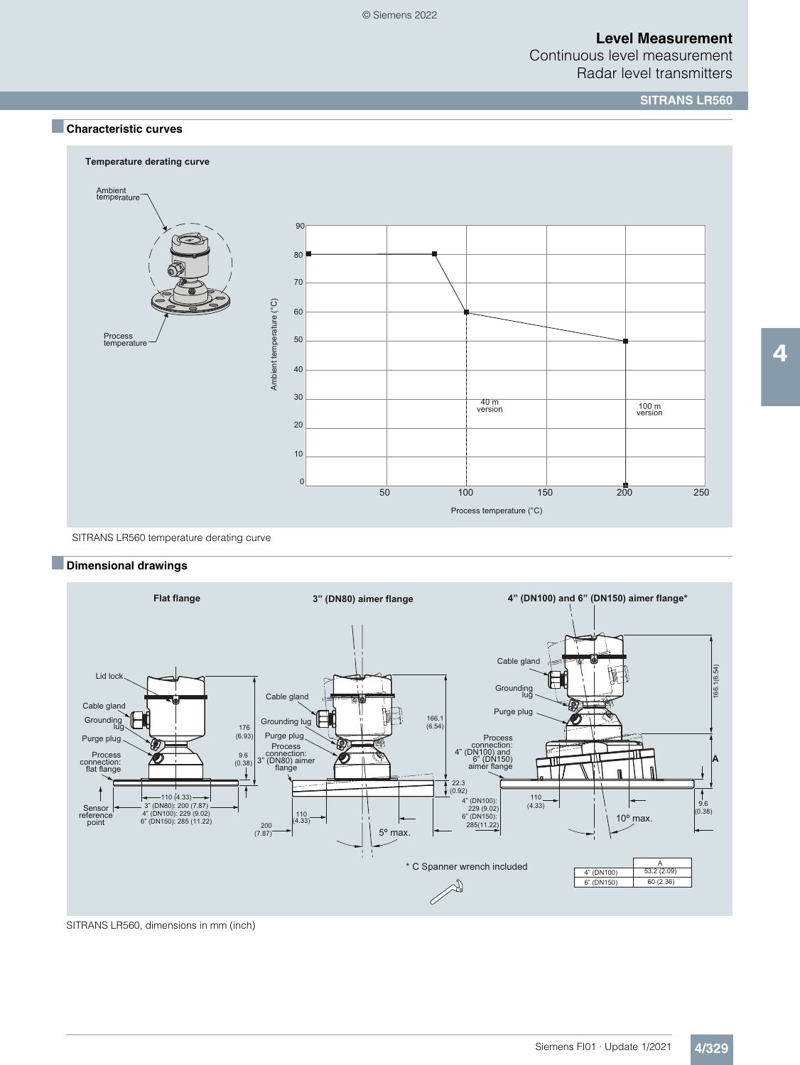Continuous level measurement Radar level transmitters

**SITRANS LR560**

## ■**Characteristic curves**



SITRANS LR560 temperature derating curve

### ■**Dimensional drawings**



SITRANS LR560, dimensions in mm (inch)